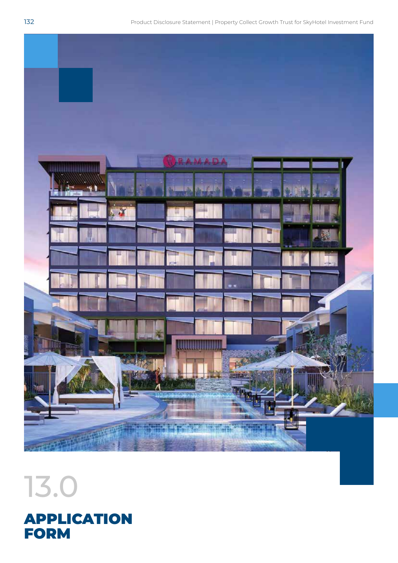

13.0

**FORM** 

APPLICATION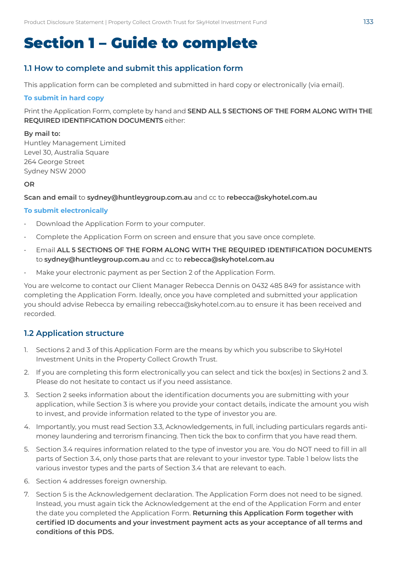# Section 1 – Guide to complete

# **1.1 How to complete and submit this application form**

This application form can be completed and submitted in hard copy or electronically (via email).

#### **To submit in hard copy**

Print the Application Form, complete by hand and **SEND ALL 5 SECTIONS OF THE FORM ALONG WITH THE REQUIRED IDENTIFICATION DOCUMENTS** either:

#### **By mail to:**

Huntley Management Limited Level 30, Australia Square 264 George Street Sydney NSW 2000

#### **OR**

**Scan and email** to **sydney@huntleygroup.com.au** and cc to **rebecca@skyhotel.com.au**

#### **To submit electronically**

- Download the Application Form to your computer.
- Complete the Application Form on screen and ensure that you save once complete.
- Email **ALL 5 SECTIONS OF THE FORM ALONG WITH THE REQUIRED IDENTIFICATION DOCUMENTS** to **sydney@huntleygroup.com.au** and cc to **rebecca@skyhotel.com.au**
- Make your electronic payment as per Section 2 of the Application Form.

You are welcome to contact our Client Manager Rebecca Dennis on 0432 485 849 for assistance with completing the Application Form. Ideally, once you have completed and submitted your application you should advise Rebecca by emailing rebecca@skyhotel.com.au to ensure it has been received and recorded.

# **1.2 Application structure**

- 1. Sections 2 and 3 of this Application Form are the means by which you subscribe to SkyHotel Investment Units in the Property Collect Growth Trust.
- 2. If you are completing this form electronically you can select and tick the box(es) in Sections 2 and 3. Please do not hesitate to contact us if you need assistance.
- 3. Section 2 seeks information about the identification documents you are submitting with your application, while Section 3 is where you provide your contact details, indicate the amount you wish to invest, and provide information related to the type of investor you are.
- 4. Importantly, you must read Section 3.3, Acknowledgements, in full, including particulars regards antimoney laundering and terrorism financing. Then tick the box to confirm that you have read them.
- 5. Section 3.4 requires information related to the type of investor you are. You do NOT need to fill in all parts of Section 3.4, only those parts that are relevant to your investor type. Table 1 below lists the various investor types and the parts of Section 3.4 that are relevant to each.
- 6. Section 4 addresses foreign ownership.
- 7. Section 5 is the Acknowledgement declaration. The Application Form does not need to be signed. Instead, you must again tick the Acknowledgement at the end of the Application Form and enter the date you completed the Application Form. **Returning this Application Form together with certified ID documents and your investment payment acts as your acceptance of all terms and conditions of this PDS.**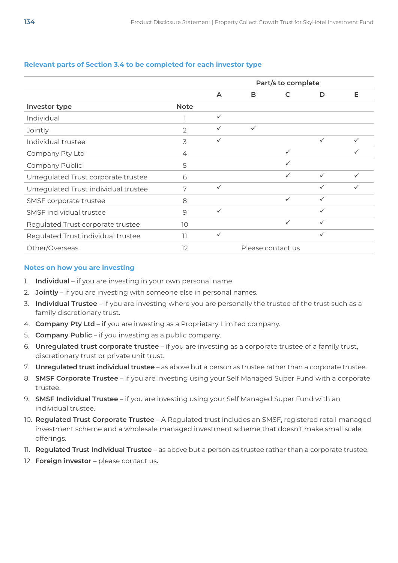|                                      |                | Part/s to complete |                   |              |              |              |
|--------------------------------------|----------------|--------------------|-------------------|--------------|--------------|--------------|
|                                      |                | $\overline{A}$     | B                 | C            | D            | Е            |
| Investor type                        | <b>Note</b>    |                    |                   |              |              |              |
| Individual                           |                | $\checkmark$       |                   |              |              |              |
| Jointly                              | $\overline{2}$ | ✓                  | $\checkmark$      |              |              |              |
| Individual trustee                   | 3              | ✓                  |                   |              | $\checkmark$ |              |
| Company Pty Ltd                      | 4              |                    |                   | $\checkmark$ |              |              |
| Company Public                       | 5              |                    |                   | $\checkmark$ |              |              |
| Unregulated Trust corporate trustee  | 6              |                    |                   | $\checkmark$ | $\checkmark$ | $\checkmark$ |
| Unregulated Trust individual trustee | 7              | ✓                  |                   |              |              |              |
| SMSF corporate trustee               | 8              |                    |                   | $\checkmark$ | $\checkmark$ |              |
| SMSF individual trustee              | 9              | ✓                  |                   |              |              |              |
| Regulated Trust corporate trustee    | 10             |                    |                   | $\checkmark$ | $\checkmark$ |              |
| Regulated Trust individual trustee   | $\overline{1}$ | ✓                  |                   |              | ✓            |              |
| Other/Overseas                       | 12             |                    | Please contact us |              |              |              |

# **Relevant parts of Section 3.4 to be completed for each investor type**

#### **Notes on how you are investing**

- 1. **Individual** if you are investing in your own personal name.
- 2. **Jointly** if you are investing with someone else in personal names.
- 3. **Individual Trustee** if you are investing where you are personally the trustee of the trust such as a family discretionary trust.
- 4. **Company Pty Ltd** if you are investing as a Proprietary Limited company.
- 5. **Company Public** if you investing as a public company.
- 6. **Unregulated trust corporate trustee** if you are investing as a corporate trustee of a family trust, discretionary trust or private unit trust.
- 7. **Unregulated trust individual trustee** as above but a person as trustee rather than a corporate trustee.
- 8. **SMSF Corporate Trustee** if you are investing using your Self Managed Super Fund with a corporate trustee.
- 9. **SMSF Individual Trustee** if you are investing using your Self Managed Super Fund with an individual trustee.
- 10. **Regulated Trust Corporate Trustee** A Regulated trust includes an SMSF, registered retail managed investment scheme and a wholesale managed investment scheme that doesn't make small scale offerings.
- 11. **Regulated Trust Individual Trustee** as above but a person as trustee rather than a corporate trustee.
- 12. **Foreign investor** please contact us**.**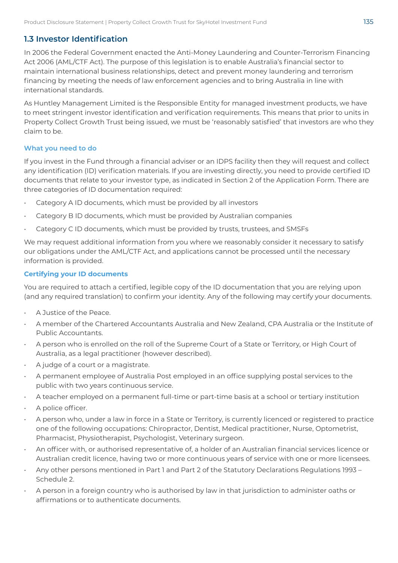# **1.3 Investor Identification**

In 2006 the Federal Government enacted the Anti-Money Laundering and Counter-Terrorism Financing Act 2006 (AML/CTF Act). The purpose of this legislation is to enable Australia's financial sector to maintain international business relationships, detect and prevent money laundering and terrorism financing by meeting the needs of law enforcement agencies and to bring Australia in line with international standards.

As Huntley Management Limited is the Responsible Entity for managed investment products, we have to meet stringent investor identification and verification requirements. This means that prior to units in Property Collect Growth Trust being issued, we must be 'reasonably satisfied' that investors are who they claim to be.

# **What you need to do**

If you invest in the Fund through a financial adviser or an IDPS facility then they will request and collect any identification (ID) verification materials. If you are investing directly, you need to provide certified ID documents that relate to your investor type, as indicated in Section 2 of the Application Form. There are three categories of ID documentation required:

- Category A ID documents, which must be provided by all investors
- Category B ID documents, which must be provided by Australian companies
- Category C ID documents, which must be provided by trusts, trustees, and SMSFs

We may request additional information from you where we reasonably consider it necessary to satisfy our obligations under the AML/CTF Act, and applications cannot be processed until the necessary information is provided.

# **Certifying your ID documents**

You are required to attach a certified, legible copy of the ID documentation that you are relying upon (and any required translation) to confirm your identity. Any of the following may certify your documents.

- A Justice of the Peace.
- A member of the Chartered Accountants Australia and New Zealand, CPA Australia or the Institute of Public Accountants.
- A person who is enrolled on the roll of the Supreme Court of a State or Territory, or High Court of Australia, as a legal practitioner (however described).
- A judge of a court or a magistrate.
- A permanent employee of Australia Post employed in an office supplying postal services to the public with two years continuous service.
- A teacher employed on a permanent full-time or part-time basis at a school or tertiary institution
- A police officer.
- A person who, under a law in force in a State or Territory, is currently licenced or registered to practice one of the following occupations: Chiropractor, Dentist, Medical practitioner, Nurse, Optometrist, Pharmacist, Physiotherapist, Psychologist, Veterinary surgeon.
- An officer with, or authorised representative of, a holder of an Australian financial services licence or Australian credit licence, having two or more continuous years of service with one or more licensees.
- Any other persons mentioned in Part 1 and Part 2 of the Statutory Declarations Regulations 1993 Schedule 2.
- A person in a foreign country who is authorised by law in that jurisdiction to administer oaths or affirmations or to authenticate documents.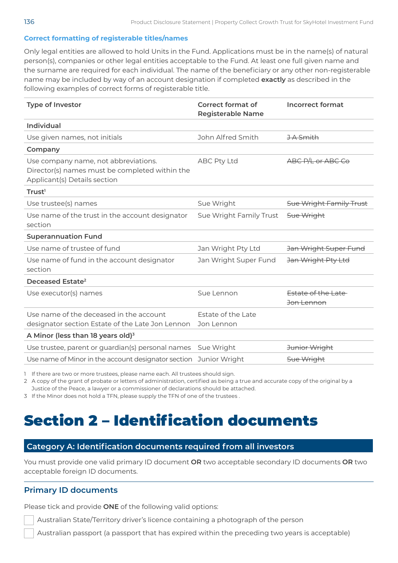# **Correct formatting of registerable titles/names**

Only legal entities are allowed to hold Units in the Fund. Applications must be in the name(s) of natural person(s), companies or other legal entities acceptable to the Fund. At least one full given name and the surname are required for each individual. The name of the beneficiary or any other non-registerable name may be included by way of an account designation if completed **exactly** as described in the following examples of correct forms of registerable title.

| <b>Type of Investor</b>                                                                                                | <b>Correct format of</b><br><b>Registerable Name</b> | <b>Incorrect format</b>          |
|------------------------------------------------------------------------------------------------------------------------|------------------------------------------------------|----------------------------------|
| <b>Individual</b>                                                                                                      |                                                      |                                  |
| Use given names, not initials                                                                                          | John Alfred Smith                                    | <b>JA Smith</b>                  |
| Company                                                                                                                |                                                      |                                  |
| Use company name, not abbreviations.<br>Director(s) names must be completed within the<br>Applicant(s) Details section | <b>ABC Pty Ltd</b>                                   | ABC P/L or ABC Co                |
| Trust <sup>1</sup>                                                                                                     |                                                      |                                  |
| Use trustee(s) names                                                                                                   | Sue Wright                                           | Sue Wright Family Trust          |
| Use name of the trust in the account designator<br>section                                                             | Sue Wright Family Trust                              | Sue Wright                       |
| <b>Superannuation Fund</b>                                                                                             |                                                      |                                  |
| Use name of trustee of fund                                                                                            | Jan Wright Pty Ltd                                   | Jan Wright Super Fund            |
| Use name of fund in the account designator<br>section                                                                  | Jan Wright Super Fund                                | Jan Wright Pty Ltd               |
| Deceased Estate <sup>2</sup>                                                                                           |                                                      |                                  |
| Use executor(s) names                                                                                                  | Sue Lennon                                           | Estate of the Late<br>Jon Lennon |
| Use name of the deceased in the account                                                                                | Estate of the Late                                   |                                  |
| designator section Estate of the Late Jon Lennon                                                                       | Jon Lennon                                           |                                  |
| A Minor (less than 18 years old) <sup>3</sup>                                                                          |                                                      |                                  |
| Use trustee, parent or guardian(s) personal names                                                                      | Sue Wright                                           | Junior Wright                    |
| Use name of Minor in the account designator section Junior Wright                                                      |                                                      | Sue Wright                       |

1 If there are two or more trustees, please name each. All trustees should sign.

2 A copy of the grant of probate or letters of administration, certified as being a true and accurate copy of the original by a

Justice of the Peace, a lawyer or a commissioner of declarations should be attached.

3 If the Minor does not hold a TFN, please supply the TFN of one of the trustees .

# Section 2 – Identification documents

# **Category A: Identification documents required from all investors**

You must provide one valid primary ID document **OR** two acceptable secondary ID documents **OR** two acceptable foreign ID documents.

# **Primary ID documents**

Please tick and provide **ONE** of the following valid options:

Australian State/Territory driver's licence containing a photograph of the person

Australian passport (a passport that has expired within the preceding two years is acceptable)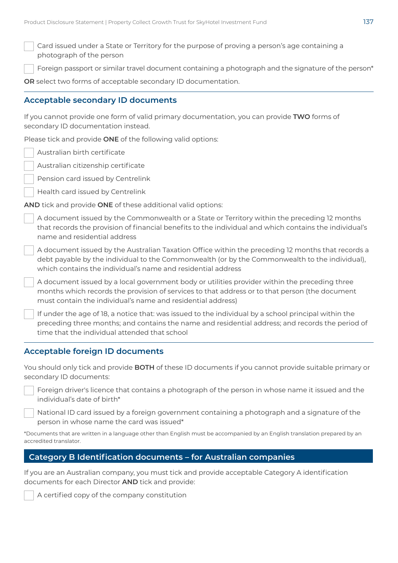Card issued under a State or Territory for the purpose of proving a person's age containing a photograph of the person Foreign passport or similar travel document containing a photograph and the signature of the person\* **OR** select two forms of acceptable secondary ID documentation. **Acceptable secondary ID documents**  If you cannot provide one form of valid primary documentation, you can provide **TWO** forms of secondary ID documentation instead. Please tick and provide **ONE** of the following valid options: Australian birth certificate Australian citizenship certificate Pension card issued by Centrelink Health card issued by Centrelink **AND** tick and provide **ONE** of these additional valid options: A document issued by the Commonwealth or a State or Territory within the preceding 12 months that records the provision of financial benefits to the individual and which contains the individual's name and residential address

A document issued by the Australian Taxation Office within the preceding 12 months that records a debt payable by the individual to the Commonwealth (or by the Commonwealth to the individual), which contains the individual's name and residential address

A document issued by a local government body or utilities provider within the preceding three months which records the provision of services to that address or to that person (the document must contain the individual's name and residential address)

If under the age of 18, a notice that: was issued to the individual by a school principal within the preceding three months; and contains the name and residential address; and records the period of time that the individual attended that school

# **Acceptable foreign ID documents**

You should only tick and provide **BOTH** of these ID documents if you cannot provide suitable primary or secondary ID documents:

Foreign driver's licence that contains a photograph of the person in whose name it issued and the individual's date of birth\*

National ID card issued by a foreign government containing a photograph and a signature of the person in whose name the card was issued\*

\*Documents that are written in a language other than English must be accompanied by an English translation prepared by an accredited translator.

# **Category B Identification documents – for Australian companies**

If you are an Australian company, you must tick and provide acceptable Category A identification documents for each Director **AND** tick and provide:

A certified copy of the company constitution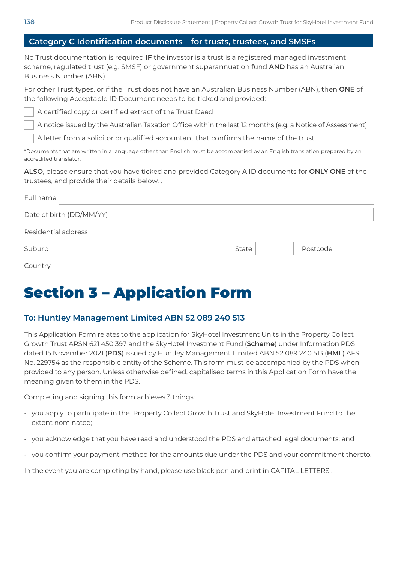# **Category C Identification documents – for trusts, trustees, and SMSFs**

No Trust documentation is required **IF** the investor is a trust is a registered managed investment scheme, regulated trust (e.g. SMSF) or government superannuation fund **AND** has an Australian Business Number (ABN).

For other Trust types, or if the Trust does not have an Australian Business Number (ABN), then **ONE** of the following Acceptable ID Document needs to be ticked and provided:

A certified copy or certified extract of the Trust Deed

A notice issued by the Australian Taxation Office within the last 12 months (e.g. a Notice of Assessment)

A letter from a solicitor or qualified accountant that confirms the name of the trust

\*Documents that are written in a language other than English must be accompanied by an English translation prepared by an accredited translator.

**ALSO**, please ensure that you have ticked and provided Category A ID documents for **ONLY ONE** of the trustees, and provide their details below. .

| Fullname                 |       |          |
|--------------------------|-------|----------|
| Date of birth (DD/MM/YY) |       |          |
| Residential address      |       |          |
| Suburb                   | State | Postcode |
| Country                  |       |          |

# Section 3 – Application Form

# **To: Huntley Management Limited ABN 52 089 240 513**

This Application Form relates to the application for SkyHotel Investment Units in the Property Collect Growth Trust ARSN 621 450 397 and the SkyHotel Investment Fund (**Scheme**) under Information PDS dated 15 November 2021 (**PDS**) issued by Huntley Management Limited ABN 52 089 240 513 (**HML**) AFSL No. 229754 as the responsible entity of the Scheme. This form must be accompanied by the PDS when provided to any person. Unless otherwise defined, capitalised terms in this Application Form have the meaning given to them in the PDS.

Completing and signing this form achieves 3 things:

- you apply to participate in the Property Collect Growth Trust and SkyHotel Investment Fund to the extent nominated;
- you acknowledge that you have read and understood the PDS and attached legal documents; and
- you confirm your payment method for the amounts due under the PDS and your commitment thereto.

In the event you are completing by hand, please use black pen and print in CAPITAL LETTERS .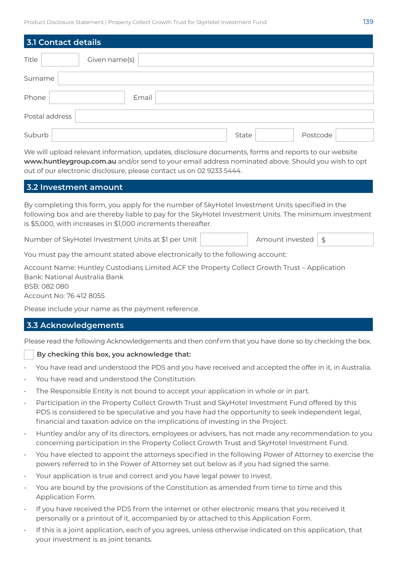| 3.1 Contact details |               |       |          |
|---------------------|---------------|-------|----------|
| Title               | Given name(s) |       |          |
| Surname             |               |       |          |
| Phone               | Email         |       |          |
| Postal address      |               |       |          |
| Suburb              |               | State | Postcode |

We will upload relevant information, updates, disclosure documents, forms and reports to our website **www.huntleygroup.com.au** and/or send to your email address nominated above. Should you wish to opt out of our electronic disclosure, please contact us on 02 9233 5444.

# **3.2 Investment amount**

By completing this form, you apply for the number of SkyHotel Investment Units specified in the following box and are thereby liable to pay for the SkyHotel Investment Units. The minimum investment is \$5,000, with increases in \$1,000 increments thereafter.

Number of SkyHotel Investment Units at \$1 per Unit Amount invested | \$

You must pay the amount stated above electronically to the following account:

Account Name: Huntley Custodians Limited ACF the Property Collect Growth Trust – Application Bank: National Australia Bank BSB: 082 080 Account No: 76 412 8055

Please include your name as the payment reference.

# **3.3 Acknowledgements**

Please read the following Acknowledgements and then confirm that you have done so by checking the box.

### **By checking this box, you acknowledge that:**

- You have read and understood the PDS and you have received and accepted the offer in it, in Australia.
- You have read and understood the Constitution.
- The Responsible Entity is not bound to accept your application in whole or in part.
- Participation in the Property Collect Growth Trust and SkyHotel Investment Fund offered by this PDS is considered to be speculative and you have had the opportunity to seek independent legal, financial and taxation advice on the implications of investing in the Project.
- Huntley and/or any of its directors, employees or advisers, has not made any recommendation to you concerning participation in the Property Collect Growth Trust and SkyHotel Investment Fund.
- You have elected to appoint the attorneys specified in the following Power of Attorney to exercise the powers referred to in the Power of Attorney set out below as if you had signed the same.
- Your application is true and correct and you have legal power to invest.
- You are bound by the provisions of the Constitution as amended from time to time and this Application Form.
- If you have received the PDS from the internet or other electronic means that you received it personally or a printout of it, accompanied by or attached to this Application Form.
- If this is a joint application, each of you agrees, unless otherwise indicated on this application, that your investment is as joint tenants.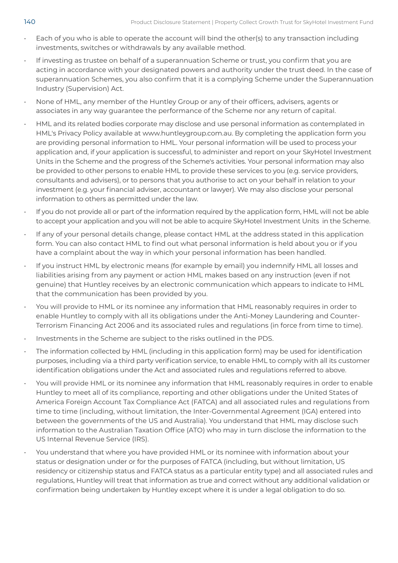- Each of you who is able to operate the account will bind the other(s) to any transaction including investments, switches or withdrawals by any available method.
- If investing as trustee on behalf of a superannuation Scheme or trust, you confirm that you are acting in accordance with your designated powers and authority under the trust deed. In the case of superannuation Schemes, you also confirm that it is a complying Scheme under the Superannuation Industry (Supervision) Act.
- None of HML, any member of the Huntley Group or any of their officers, advisers, agents or associates in any way guarantee the performance of the Scheme nor any return of capital.
- HML and its related bodies corporate may disclose and use personal information as contemplated in HML's Privacy Policy available at www.huntleygroup.com.au. By completing the application form you are providing personal information to HML. Your personal information will be used to process your application and, if your application is successful, to administer and report on your SkyHotel Investment Units in the Scheme and the progress of the Scheme's activities. Your personal information may also be provided to other persons to enable HML to provide these services to you (e.g. service providers, consultants and advisers), or to persons that you authorise to act on your behalf in relation to your investment (e.g. your financial adviser, accountant or lawyer). We may also disclose your personal information to others as permitted under the law.
- If you do not provide all or part of the information required by the application form, HML will not be able to accept your application and you will not be able to acquire SkyHotel Investment Units in the Scheme.
- If any of your personal details change, please contact HML at the address stated in this application form. You can also contact HML to find out what personal information is held about you or if you have a complaint about the way in which your personal information has been handled.
- If you instruct HML by electronic means (for example by email) you indemnify HML all losses and liabilities arising from any payment or action HML makes based on any instruction (even if not genuine) that Huntley receives by an electronic communication which appears to indicate to HML that the communication has been provided by you.
- You will provide to HML or its nominee any information that HML reasonably requires in order to enable Huntley to comply with all its obligations under the Anti-Money Laundering and Counter-Terrorism Financing Act 2006 and its associated rules and regulations (in force from time to time).
- Investments in the Scheme are subject to the risks outlined in the PDS.
- The information collected by HML (including in this application form) may be used for identification purposes, including via a third party verification service, to enable HML to comply with all its customer identification obligations under the Act and associated rules and regulations referred to above.
- You will provide HML or its nominee any information that HML reasonably requires in order to enable Huntley to meet all of its compliance, reporting and other obligations under the United States of America Foreign Account Tax Compliance Act (FATCA) and all associated rules and regulations from time to time (including, without limitation, the Inter-Governmental Agreement (IGA) entered into between the governments of the US and Australia). You understand that HML may disclose such information to the Australian Taxation Office (ATO) who may in turn disclose the information to the US Internal Revenue Service (IRS).
- You understand that where you have provided HML or its nominee with information about your status or designation under or for the purposes of FATCA (including, but without limitation, US residency or citizenship status and FATCA status as a particular entity type) and all associated rules and regulations, Huntley will treat that information as true and correct without any additional validation or confirmation being undertaken by Huntley except where it is under a legal obligation to do so.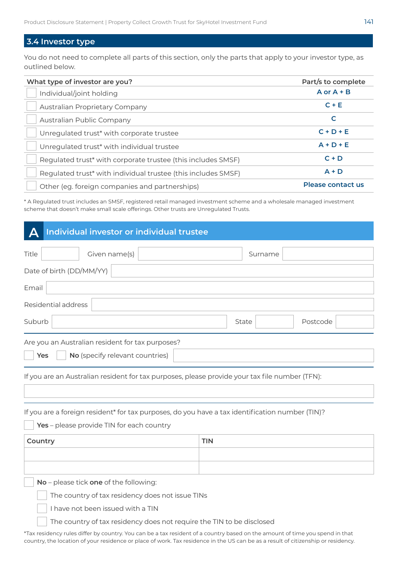# **3.4 Investor type**

You do not need to complete all parts of this section, only the parts that apply to your investor type, as outlined below.

| What type of investor are you?                                | Part/s to complete |
|---------------------------------------------------------------|--------------------|
| Individual/joint holding                                      | $A$ or $A + B$     |
| Australian Proprietary Company                                | $C + E$            |
| Australian Public Company                                     | C                  |
| Unregulated trust* with corporate trustee                     | $C + D + E$        |
| Unregulated trust* with individual trustee                    | $A + D + E$        |
| Regulated trust* with corporate trustee (this includes SMSF)  | $C + D$            |
| Regulated trust* with individual trustee (this includes SMSF) | $A + D$            |
| Other (eg. foreign companies and partnerships)                | Please contact us  |

\* A Regulated trust includes an SMSF, registered retail managed investment scheme and a wholesale managed investment scheme that doesn't make small scale offerings. Other trusts are Unregulated Trusts.

# **A Individual investor or individual trustee**

| Title  |                          | Given name(s)                                    | Surname |          |
|--------|--------------------------|--------------------------------------------------|---------|----------|
|        | Date of birth (DD/MM/YY) |                                                  |         |          |
| Email  |                          |                                                  |         |          |
|        | Residential address      |                                                  |         |          |
| Suburb |                          |                                                  | State   | Postcode |
|        |                          | Are you an Australian resident for tax purposes? |         |          |
| Yes    |                          | No (specify relevant countries)                  |         |          |

If you are an Australian resident for tax purposes, please provide your tax file number (TFN):

| If you are a foreign resident* for tax purposes, do you have a tax identification number (TIN)? |
|-------------------------------------------------------------------------------------------------|
|-------------------------------------------------------------------------------------------------|

**Yes** – please provide TIN for each country

| Country | <b>TIN</b> |
|---------|------------|
|         |            |
|         |            |

**No** – please tick **one** of the following:

The country of tax residency does not issue TINs

I have not been issued with a TIN

The country of tax residency does not require the TIN to be disclosed

\*Tax residency rules differ by country. You can be a tax resident of a country based on the amount of time you spend in that country, the location of your residence or place of work. Tax residence in the US can be as a result of citizenship or residency.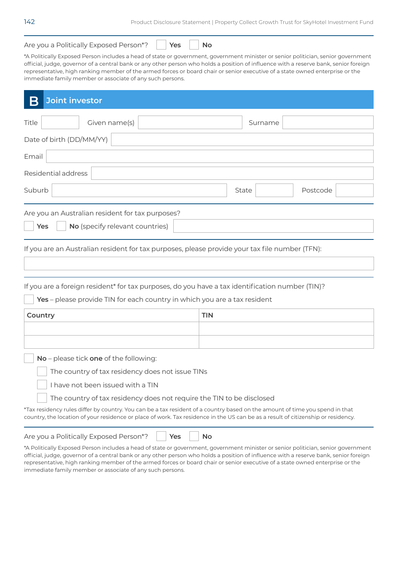Are you a Politically Exposed Person<sup>\*</sup>? | **Yes** | **No** 

\*A Politically Exposed Person includes a head of state or government, government minister or senior politician, senior government official, judge, governor of a central bank or any other person who holds a position of influence with a reserve bank, senior foreign representative, high ranking member of the armed forces or board chair or senior executive of a state owned enterprise or the immediate family member or associate of any such persons.

# **B Joint investor** Title Given name(s) Surname Date of birth (DD/MM/YY) Email Residential address Suburb | Postcode Postcode Postcode Postcode Postcode Postcode Postcode Postcode Postcode Postcode Postcode Po Are you an Australian resident for tax purposes? **Yes No** (specify relevant countries)

If you are an Australian resident for tax purposes, please provide your tax file number (TFN):

| If you are a foreign resident* for tax purposes, do you have a tax identification number (TIN)?                         |  |  |
|-------------------------------------------------------------------------------------------------------------------------|--|--|
| Yes - please provide TIN for each country in which you are a tax resident                                               |  |  |
| Country<br><b>TIN</b>                                                                                                   |  |  |
|                                                                                                                         |  |  |
|                                                                                                                         |  |  |
| $No$ – please tick one of the following:                                                                                |  |  |
| The country of tax residency does not issue TINs                                                                        |  |  |
| have not been issued with a TIN                                                                                         |  |  |
| the contract of the contract of the contract of the contract of the contract of the contract of the contract of<br>$-1$ |  |  |

 $\vert\vert$  The country of tax residency does not require the TIN to be disclosed

\*Tax residency rules differ by country. You can be a tax resident of a country based on the amount of time you spend in that country, the location of your residence or place of work. Tax residence in the US can be as a result of citizenship or residency.

Are you a Politically Exposed Person<sup>\*</sup>? | **Yes** | **No** 

\*A Politically Exposed Person includes a head of state or government, government minister or senior politician, senior government official, judge, governor of a central bank or any other person who holds a position of influence with a reserve bank, senior foreign representative, high ranking member of the armed forces or board chair or senior executive of a state owned enterprise or the immediate family member or associate of any such persons.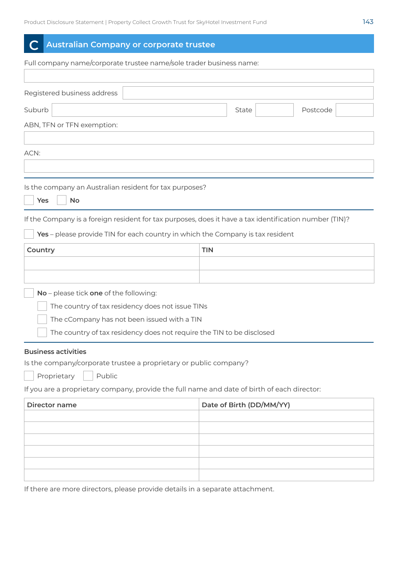# **C Australian Company or corporate trustee**

| Full company name/corporate trustee name/sole trader business name:                                                                                                                                                     |                          |
|-------------------------------------------------------------------------------------------------------------------------------------------------------------------------------------------------------------------------|--------------------------|
| Registered business address                                                                                                                                                                                             |                          |
| Suburb                                                                                                                                                                                                                  | Postcode<br>State        |
| ABN, TFN or TFN exemption:                                                                                                                                                                                              |                          |
| ACN:                                                                                                                                                                                                                    |                          |
| Is the company an Australian resident for tax purposes?<br>Yes<br><b>No</b>                                                                                                                                             |                          |
| If the Company is a foreign resident for tax purposes, does it have a tax identification number (TIN)?<br>Yes - please provide TIN for each country in which the Company is tax resident                                |                          |
| Country                                                                                                                                                                                                                 | <b>TIN</b>               |
| No - please tick one of the following:<br>The country of tax residency does not issue TINs<br>The cCompany has not been issued with a TIN<br>The country of tax residency does not require the TIN to be disclosed      |                          |
| <b>Business activities</b><br>Is the company/corporate trustee a proprietary or public company?<br>Proprietary<br>Public<br>If you are a proprietary company, provide the full name and date of birth of each director: |                          |
| <b>Director name</b>                                                                                                                                                                                                    | Date of Birth (DD/MM/YY) |
|                                                                                                                                                                                                                         |                          |
|                                                                                                                                                                                                                         |                          |

If there are more directors, please provide details in a separate attachment.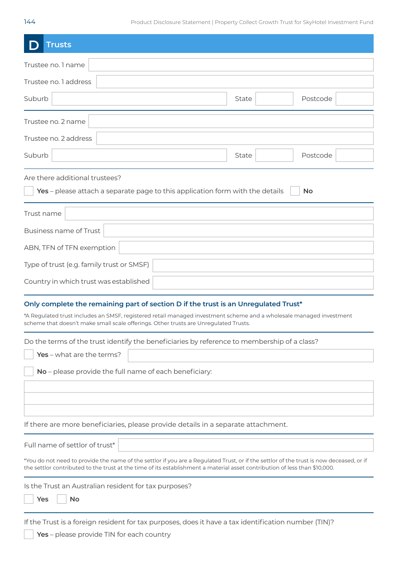| <b>Trusts</b>                                                                                                                                                                                                                                                                                                                                                                                     |  |
|---------------------------------------------------------------------------------------------------------------------------------------------------------------------------------------------------------------------------------------------------------------------------------------------------------------------------------------------------------------------------------------------------|--|
| Trustee no. 1 name                                                                                                                                                                                                                                                                                                                                                                                |  |
| Trustee no. 1 address                                                                                                                                                                                                                                                                                                                                                                             |  |
| Suburb<br>Postcode<br><b>State</b>                                                                                                                                                                                                                                                                                                                                                                |  |
| Trustee no. 2 name                                                                                                                                                                                                                                                                                                                                                                                |  |
| Trustee no. 2 address                                                                                                                                                                                                                                                                                                                                                                             |  |
| Postcode<br>Suburb<br><b>State</b>                                                                                                                                                                                                                                                                                                                                                                |  |
| Are there additional trustees?<br>Yes – please attach a separate page to this application form with the details<br><b>No</b>                                                                                                                                                                                                                                                                      |  |
| Trust name                                                                                                                                                                                                                                                                                                                                                                                        |  |
| Business name of Trust                                                                                                                                                                                                                                                                                                                                                                            |  |
| ABN, TFN of TFN exemption                                                                                                                                                                                                                                                                                                                                                                         |  |
| Type of trust (e.g. family trust or SMSF)                                                                                                                                                                                                                                                                                                                                                         |  |
| Country in which trust was established                                                                                                                                                                                                                                                                                                                                                            |  |
| Only complete the remaining part of section D if the trust is an Unregulated Trust*<br>*A Regulated trust includes an SMSF, registered retail managed investment scheme and a wholesale managed investment<br>scheme that doesn't make small scale offerings. Other trusts are Unregulated Trusts.<br>Do the terms of the trust identify the beneficiaries by reference to membership of a class? |  |
| Yes - what are the terms?                                                                                                                                                                                                                                                                                                                                                                         |  |
| No - please provide the full name of each beneficiary:                                                                                                                                                                                                                                                                                                                                            |  |
|                                                                                                                                                                                                                                                                                                                                                                                                   |  |
| If there are more beneficiaries, please provide details in a separate attachment.                                                                                                                                                                                                                                                                                                                 |  |
| Full name of settlor of trust*                                                                                                                                                                                                                                                                                                                                                                    |  |
| *You do not need to provide the name of the settlor if you are a Regulated Trust, or if the settlor of the trust is now deceased, or if<br>the settlor contributed to the trust at the time of its establishment a material asset contribution of less than \$10,000.                                                                                                                             |  |
| Is the Trust an Australian resident for tax purposes?<br><b>No</b><br>Yes                                                                                                                                                                                                                                                                                                                         |  |
| If the Trust is a foreign resident for tax purposes, does it have a tax identification number (TIN)?                                                                                                                                                                                                                                                                                              |  |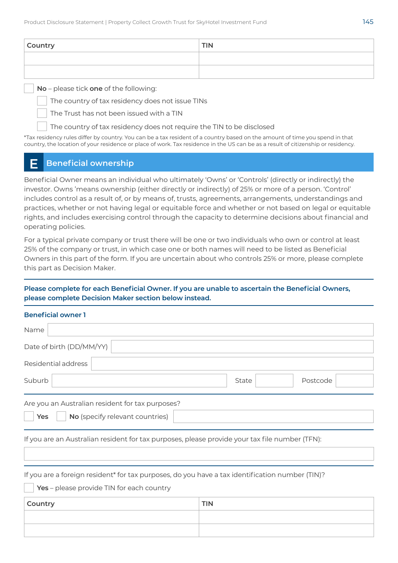| Country | <b>TIN</b> |
|---------|------------|
|         |            |
|         |            |

**No** – please tick **one** of the following:

The country of tax residency does not issue TINs

The Trust has not been issued with a TIN

The country of tax residency does not require the TIN to be disclosed

\*Tax residency rules differ by country. You can be a tax resident of a country based on the amount of time you spend in that country, the location of your residence or place of work. Tax residence in the US can be as a result of citizenship or residency.

# **E Beneficial ownership**

Beneficial Owner means an individual who ultimately 'Owns' or 'Controls' (directly or indirectly) the investor. Owns 'means ownership (either directly or indirectly) of 25% or more of a person. 'Control' includes control as a result of, or by means of, trusts, agreements, arrangements, understandings and practices, whether or not having legal or equitable force and whether or not based on legal or equitable rights, and includes exercising control through the capacity to determine decisions about financial and operating policies.

For a typical private company or trust there will be one or two individuals who own or control at least 25% of the company or trust, in which case one or both names will need to be listed as Beneficial Owners in this part of the form. If you are uncertain about who controls 25% or more, please complete this part as Decision Maker.

# **Please complete for each Beneficial Owner. If you are unable to ascertain the Beneficial Owners, please complete Decision Maker section below instead.**

### **Beneficial owner 1**

| Name                                             |       |          |
|--------------------------------------------------|-------|----------|
| Date of birth (DD/MM/YY)                         |       |          |
| Residential address                              |       |          |
| Suburb                                           | State | Postcode |
| Are you an Australian resident for tax purposes? |       |          |
| No (specify relevant countries)<br>Yes           |       |          |

If you are an Australian resident for tax purposes, please provide your tax file number (TFN):

If you are a foreign resident\* for tax purposes, do you have a tax identification number (TIN)?

**Yes** – please provide TIN for each country

| Country | <b>TIN</b> |
|---------|------------|
|         |            |
|         |            |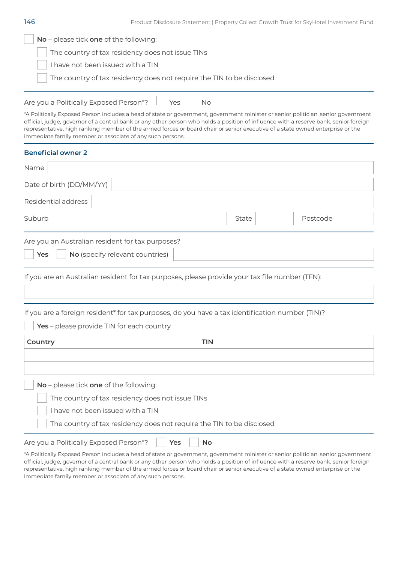| u.<br>ı<br>w | . .<br>۰,<br>٧<br>۰, |
|--------------|----------------------|
|              |                      |

| $No$ – please tick one of the following:                              |
|-----------------------------------------------------------------------|
| The country of tax residency does not issue TINs                      |
| I have not been issued with a TIN                                     |
| The country of tax residency does not require the TIN to be disclosed |

| Are you a Politically Exposed Person*? | l Yes | $\Box$ No |
|----------------------------------------|-------|-----------|
|                                        |       |           |

\*A Politically Exposed Person includes a head of state or government, government minister or senior politician, senior government official, judge, governor of a central bank or any other person who holds a position of influence with a reserve bank, senior foreign representative, high ranking member of the armed forces or board chair or senior executive of a state owned enterprise or the immediate family member or associate of any such persons.

#### **Beneficial owner 2**

| Name                                             |                                 |       |          |
|--------------------------------------------------|---------------------------------|-------|----------|
| Date of birth (DD/MM/YY)                         |                                 |       |          |
| Residential address                              |                                 |       |          |
| Suburb                                           |                                 | State | Postcode |
| Are you an Australian resident for tax purposes? |                                 |       |          |
| Yes                                              | No (specify relevant countries) |       |          |

If you are an Australian resident for tax purposes, please provide your tax file number (TFN):

If you are a foreign resident\* for tax purposes, do you have a tax identification number (TIN)?

**Yes** – please provide TIN for each country

| Country                  | <b>TIN</b> |
|--------------------------|------------|
|                          |            |
|                          |            |
| $\overline{\phantom{a}}$ |            |

**No** – please tick **one** of the following:

The country of tax residency does not issue TINs

I have not been issued with a TIN

The country of tax residency does not require the TIN to be disclosed

Are you a Politically Exposed Person<sup>\*</sup>? | **Yes** | **No** 

\*A Politically Exposed Person includes a head of state or government, government minister or senior politician, senior government official, judge, governor of a central bank or any other person who holds a position of influence with a reserve bank, senior foreign representative, high ranking member of the armed forces or board chair or senior executive of a state owned enterprise or the immediate family member or associate of any such persons.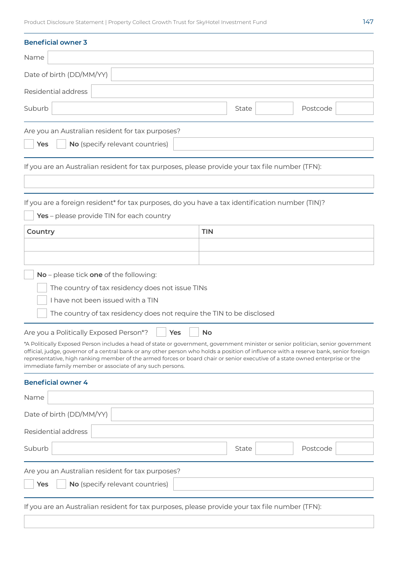| Postcode<br>State<br>No (specify relevant countries)<br>Yes<br>If you are a foreign resident* for tax purposes, do you have a tax identification number (TIN)?<br>Yes - please provide TIN for each country<br>Country<br><b>TIN</b><br>No - please tick one of the following:<br>The country of tax residency does not issue TINs<br>I have not been issued with a TIN<br>The country of tax residency does not require the TIN to be disclosed<br>No<br>representative, high ranking member of the armed forces or board chair or senior executive of a state owned enterprise or the<br>immediate family member or associate of any such persons.<br>Postcode<br>State | <b>Beneficial owner 3</b>              |  |  |  |
|---------------------------------------------------------------------------------------------------------------------------------------------------------------------------------------------------------------------------------------------------------------------------------------------------------------------------------------------------------------------------------------------------------------------------------------------------------------------------------------------------------------------------------------------------------------------------------------------------------------------------------------------------------------------------|----------------------------------------|--|--|--|
| Date of birth (DD/MM/YY)<br>Residential address                                                                                                                                                                                                                                                                                                                                                                                                                                                                                                                                                                                                                           | Name                                   |  |  |  |
|                                                                                                                                                                                                                                                                                                                                                                                                                                                                                                                                                                                                                                                                           |                                        |  |  |  |
|                                                                                                                                                                                                                                                                                                                                                                                                                                                                                                                                                                                                                                                                           |                                        |  |  |  |
| Are you an Australian resident for tax purposes?<br>If you are an Australian resident for tax purposes, please provide your tax file number (TFN):<br>Are you a Politically Exposed Person*?     Yes<br>*A Politically Exposed Person includes a head of state or government, government minister or senior politician, senior government<br>official, judge, governor of a central bank or any other person who holds a position of influence with a reserve bank, senior foreign<br><b>Beneficial owner 4</b><br>Name<br>Date of birth (DD/MM/YY)<br>Residential address<br>Suburb<br>Are you an Australian resident for tax purposes?                                  | Suburb                                 |  |  |  |
|                                                                                                                                                                                                                                                                                                                                                                                                                                                                                                                                                                                                                                                                           |                                        |  |  |  |
|                                                                                                                                                                                                                                                                                                                                                                                                                                                                                                                                                                                                                                                                           |                                        |  |  |  |
|                                                                                                                                                                                                                                                                                                                                                                                                                                                                                                                                                                                                                                                                           |                                        |  |  |  |
|                                                                                                                                                                                                                                                                                                                                                                                                                                                                                                                                                                                                                                                                           |                                        |  |  |  |
|                                                                                                                                                                                                                                                                                                                                                                                                                                                                                                                                                                                                                                                                           |                                        |  |  |  |
|                                                                                                                                                                                                                                                                                                                                                                                                                                                                                                                                                                                                                                                                           |                                        |  |  |  |
|                                                                                                                                                                                                                                                                                                                                                                                                                                                                                                                                                                                                                                                                           |                                        |  |  |  |
|                                                                                                                                                                                                                                                                                                                                                                                                                                                                                                                                                                                                                                                                           |                                        |  |  |  |
|                                                                                                                                                                                                                                                                                                                                                                                                                                                                                                                                                                                                                                                                           |                                        |  |  |  |
|                                                                                                                                                                                                                                                                                                                                                                                                                                                                                                                                                                                                                                                                           |                                        |  |  |  |
|                                                                                                                                                                                                                                                                                                                                                                                                                                                                                                                                                                                                                                                                           |                                        |  |  |  |
|                                                                                                                                                                                                                                                                                                                                                                                                                                                                                                                                                                                                                                                                           |                                        |  |  |  |
|                                                                                                                                                                                                                                                                                                                                                                                                                                                                                                                                                                                                                                                                           |                                        |  |  |  |
| If you are an Australian resident for tax purposes, please provide your tax file number (TFN):                                                                                                                                                                                                                                                                                                                                                                                                                                                                                                                                                                            | No (specify relevant countries)<br>Yes |  |  |  |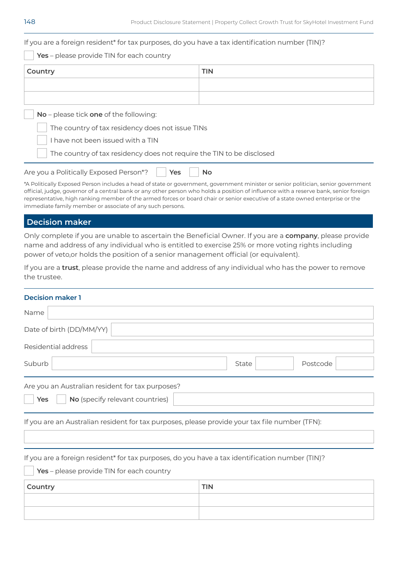If you are a foreign resident\* for tax purposes, do you have a tax identification number (TIN)?

**Yes** – please provide TIN for each country

| Country                                          | <b>TIN</b> |  |  |  |
|--------------------------------------------------|------------|--|--|--|
|                                                  |            |  |  |  |
|                                                  |            |  |  |  |
| No - please tick one of the following:           |            |  |  |  |
| The country of tax residency does not issue TINs |            |  |  |  |

I have not been issued with a TIN

The country of tax residency does not require the TIN to be disclosed

Are you a Politically Exposed Person<sup>\*</sup>? | **Yes** | **No** 

\*A Politically Exposed Person includes a head of state or government, government minister or senior politician, senior government official, judge, governor of a central bank or any other person who holds a position of influence with a reserve bank, senior foreign representative, high ranking member of the armed forces or board chair or senior executive of a state owned enterprise or the immediate family member or associate of any such persons.

**Decision maker**

Only complete if you are unable to ascertain the Beneficial Owner. If you are a **company**, please provide name and address of any individual who is entitled to exercise 25% or more voting rights including power of veto,or holds the position of a senior management official (or equivalent).

If you are a **trust**, please provide the name and address of any individual who has the power to remove the trustee.

### **Decision maker 1**

| Name                                             |       |          |
|--------------------------------------------------|-------|----------|
| Date of birth (DD/MM/YY)                         |       |          |
| Residential address                              |       |          |
| Suburb                                           | State | Postcode |
| Are you an Australian resident for tax purposes? |       |          |
| No (specify relevant countries)<br>Yes           |       |          |

If you are an Australian resident for tax purposes, please provide your tax file number (TFN):

If you are a foreign resident\* for tax purposes, do you have a tax identification number (TIN)?

**Yes** – please provide TIN for each country

| Country | <b>TIN</b> |
|---------|------------|
|         |            |
|         |            |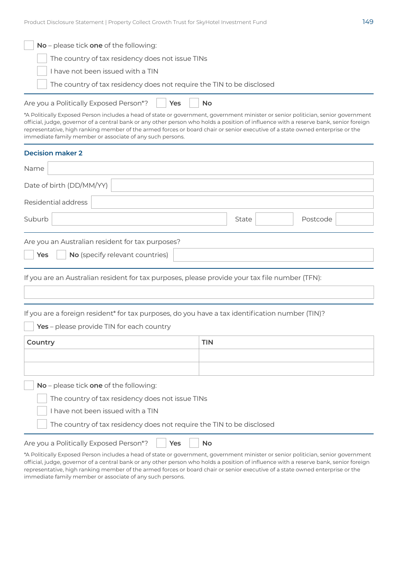| No - please tick one of the following:                                                                                                                                                                                                                                                                                                                                                                                                                                   |           |  |  |  |  |
|--------------------------------------------------------------------------------------------------------------------------------------------------------------------------------------------------------------------------------------------------------------------------------------------------------------------------------------------------------------------------------------------------------------------------------------------------------------------------|-----------|--|--|--|--|
| The country of tax residency does not issue TINs<br>I have not been issued with a TIN                                                                                                                                                                                                                                                                                                                                                                                    |           |  |  |  |  |
|                                                                                                                                                                                                                                                                                                                                                                                                                                                                          |           |  |  |  |  |
| The country of tax residency does not require the TIN to be disclosed                                                                                                                                                                                                                                                                                                                                                                                                    |           |  |  |  |  |
| Are you a Politically Exposed Person*?<br>Yes                                                                                                                                                                                                                                                                                                                                                                                                                            | <b>No</b> |  |  |  |  |
| *A Politically Exposed Person includes a head of state or government, government minister or senior politician, senior government<br>official, judge, governor of a central bank or any other person who holds a position of influence with a reserve bank, senior foreign<br>representative, high ranking member of the armed forces or board chair or senior executive of a state owned enterprise or the<br>immediate family member or associate of any such persons. |           |  |  |  |  |
| <b>Decision maker 2</b>                                                                                                                                                                                                                                                                                                                                                                                                                                                  |           |  |  |  |  |
| Name                                                                                                                                                                                                                                                                                                                                                                                                                                                                     |           |  |  |  |  |
| Date of birth (DD/MM/YY)                                                                                                                                                                                                                                                                                                                                                                                                                                                 |           |  |  |  |  |
| Residential address                                                                                                                                                                                                                                                                                                                                                                                                                                                      |           |  |  |  |  |
| Suburb<br>Postcode<br>State                                                                                                                                                                                                                                                                                                                                                                                                                                              |           |  |  |  |  |
| Are you an Australian resident for tax purposes?                                                                                                                                                                                                                                                                                                                                                                                                                         |           |  |  |  |  |
| No (specify relevant countries)<br>Yes                                                                                                                                                                                                                                                                                                                                                                                                                                   |           |  |  |  |  |
| If you are an Australian resident for tax purposes, please provide your tax file number (TFN):                                                                                                                                                                                                                                                                                                                                                                           |           |  |  |  |  |
|                                                                                                                                                                                                                                                                                                                                                                                                                                                                          |           |  |  |  |  |
| If you are a foreign resident* for tax purposes, do you have a tax identification number (TIN)?                                                                                                                                                                                                                                                                                                                                                                          |           |  |  |  |  |
| Yes - please provide TIN for each country                                                                                                                                                                                                                                                                                                                                                                                                                                |           |  |  |  |  |
| Country<br><b>TIN</b>                                                                                                                                                                                                                                                                                                                                                                                                                                                    |           |  |  |  |  |
|                                                                                                                                                                                                                                                                                                                                                                                                                                                                          |           |  |  |  |  |
|                                                                                                                                                                                                                                                                                                                                                                                                                                                                          |           |  |  |  |  |
| No-please tick one of the following:                                                                                                                                                                                                                                                                                                                                                                                                                                     |           |  |  |  |  |
| The country of tax residency does not issue TINs                                                                                                                                                                                                                                                                                                                                                                                                                         |           |  |  |  |  |
| I have not been issued with a TIN                                                                                                                                                                                                                                                                                                                                                                                                                                        |           |  |  |  |  |
| The country of tax residency does not require the TIN to be disclosed                                                                                                                                                                                                                                                                                                                                                                                                    |           |  |  |  |  |

Are you a Politically Exposed Person\*? **Yes No**

\*A Politically Exposed Person includes a head of state or government, government minister or senior politician, senior government official, judge, governor of a central bank or any other person who holds a position of influence with a reserve bank, senior foreign representative, high ranking member of the armed forces or board chair or senior executive of a state owned enterprise or the immediate family member or associate of any such persons.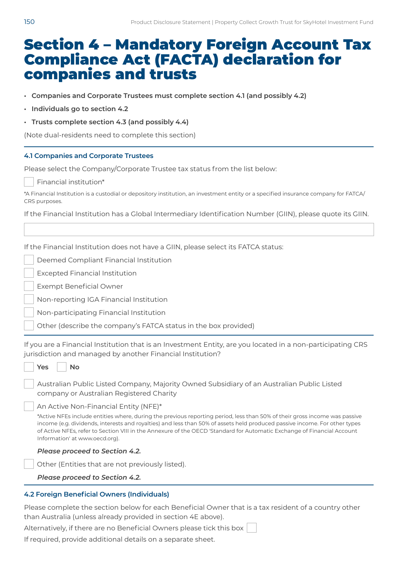# Section 4 – Mandatory Foreign Account Tax Compliance Act (FACTA) declaration for companies and trusts

- **• Companies and Corporate Trustees must complete section 4.1 (and possibly 4.2)**
- **• Individuals go to section 4.2**
- **• Trusts complete section 4.3 (and possibly 4.4)**

(Note dual-residents need to complete this section)

### **4.1 Companies and Corporate Trustees**

Please select the Company/Corporate Trustee tax status from the list below:

Financial institution\*

| *A Financial Institution is a custodial or depository institution, an investment entity or a specified insurance company for FATCA/ |  |
|-------------------------------------------------------------------------------------------------------------------------------------|--|
| CRS purposes.                                                                                                                       |  |

If the Financial Institution has a Global Intermediary Identification Number (GIIN), please quote its GIIN.

If the Financial Institution does not have a GIIN, please select its FATCA status:

| Deemed Compliant Financial Institution |
|----------------------------------------|
|                                        |

Excepted Financial Institution

Exempt Beneficial Owner

Non-reporting IGA Financial Institution

Non-participating Financial Institution

Other (describe the company's FATCA status in the box provided)

If you are a Financial Institution that is an Investment Entity, are you located in a non-participating CRS jurisdiction and managed by another Financial Institution?

| <b>Yes</b> | No |
|------------|----|
|            |    |

Australian Public Listed Company, Majority Owned Subsidiary of an Australian Public Listed company or Australian Registered Charity

### An Active Non-Financial Entity (NFE)\*

\*Active NFEs include entities where, during the previous reporting period, less than 50% of their gross income was passive income (e.g. dividends, interests and royalties) and less than 50% of assets held produced passive income. For other types of Active NFEs, refer to Section VIII in the Annexure of the OECD 'Standard for Automatic Exchange of Financial Account Information' at www.oecd.org).

### *Please proceed to Section 4.2.*

Other (Entities that are not previously listed).

*Please proceed to Section 4.2.*

# **4.2 Foreign Beneficial Owners (Individuals)**

Please complete the section below for each Beneficial Owner that is a tax resident of a country other than Australia (unless already provided in section 4E above).

Alternatively, if there are no Beneficial Owners please tick this box

If required, provide additional details on a separate sheet.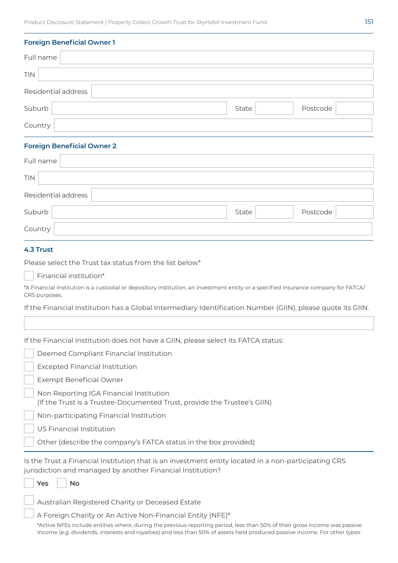| <b>Foreign Beneficial Owner 1</b> |                   |
|-----------------------------------|-------------------|
| Full name                         |                   |
| <b>TIN</b>                        |                   |
| Residential address               |                   |
| Suburb                            | Postcode<br>State |
| Country                           |                   |

#### **Foreign Beneficial Owner 2**

| Full name           |                   |
|---------------------|-------------------|
| <b>TIN</b>          |                   |
| Residential address |                   |
| Suburb              | Postcode<br>State |
| Country             |                   |

#### **4.3 Trust**

Please select the Trust tax status from the list below\*

Financial institution\*

\*A Financial Institution is a custodial or depository institution, an investment entity or a specified insurance company for FATCA/ CRS purposes.

If the Financial Institution has a Global Intermediary Identification Number (GIIN), please quote its GIIN.

|  |  |  | If the Financial Institution does not have a GIIN, please select its FATCA status: |
|--|--|--|------------------------------------------------------------------------------------|
|--|--|--|------------------------------------------------------------------------------------|

|  | Deemed Compliant Financial Institution                                                                              |
|--|---------------------------------------------------------------------------------------------------------------------|
|  | <b>Excepted Financial Institution</b>                                                                               |
|  | <b>Exempt Beneficial Owner</b>                                                                                      |
|  | Non Reporting IGA Financial Institution<br>(If the Trust is a Trustee-Documented Trust, provide the Trustee's GIIN) |

Non-participating Financial Institution

US Financial Institution

Other (describe the company's FATCA status in the box provided)

Is the Trust a Financial Institution that is an investment entity located in a non-participating CRS jurisdiction and managed by another Financial Institution?

Yes | No

Australian Registered Charity or Deceased Estate

A Foreign Charity or An Active Non-Financial Entity (NFE)\*

\*Active NFEs include entities where, during the previous reporting period, less than 50% of their gross income was passive income (e.g. dividends, interests and royalties) and less than 50% of assets held produced passive income. For other types